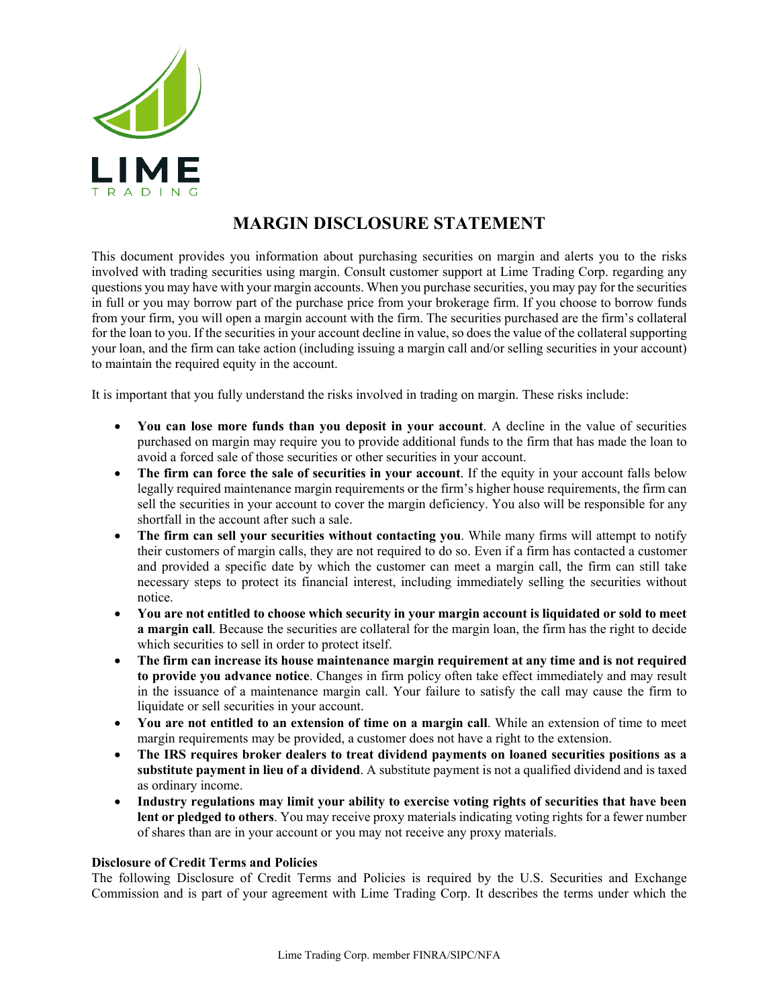

## **MARGIN DISCLOSURE STATEMENT**

This document provides you information about purchasing securities on margin and alerts you to the risks involved with trading securities using margin. Consult customer support at Lime Trading Corp. regarding any questions you may have with your margin accounts. When you purchase securities, you may pay for the securities in full or you may borrow part of the purchase price from your brokerage firm. If you choose to borrow funds from your firm, you will open a margin account with the firm. The securities purchased are the firm's collateral for the loan to you. If the securities in your account decline in value, so does the value of the collateral supporting your loan, and the firm can take action (including issuing a margin call and/or selling securities in your account) to maintain the required equity in the account.

It is important that you fully understand the risks involved in trading on margin. These risks include:

- **You can lose more funds than you deposit in your account**. A decline in the value of securities purchased on margin may require you to provide additional funds to the firm that has made the loan to avoid a forced sale of those securities or other securities in your account.
- **The firm can force the sale of securities in your account**. If the equity in your account falls below legally required maintenance margin requirements or the firm's higher house requirements, the firm can sell the securities in your account to cover the margin deficiency. You also will be responsible for any shortfall in the account after such a sale.
- **The firm can sell your securities without contacting you**. While many firms will attempt to notify their customers of margin calls, they are not required to do so. Even if a firm has contacted a customer and provided a specific date by which the customer can meet a margin call, the firm can still take necessary steps to protect its financial interest, including immediately selling the securities without notice.
- **You are not entitled to choose which security in your margin account is liquidated or sold to meet a margin call**. Because the securities are collateral for the margin loan, the firm has the right to decide which securities to sell in order to protect itself.
- **The firm can increase its house maintenance margin requirement at any time and is not required to provide you advance notice**. Changes in firm policy often take effect immediately and may result in the issuance of a maintenance margin call. Your failure to satisfy the call may cause the firm to liquidate or sell securities in your account.
- **You are not entitled to an extension of time on a margin call**. While an extension of time to meet margin requirements may be provided, a customer does not have a right to the extension.
- **The IRS requires broker dealers to treat dividend payments on loaned securities positions as a substitute payment in lieu of a dividend**. A substitute payment is not a qualified dividend and is taxed as ordinary income.
- **Industry regulations may limit your ability to exercise voting rights of securities that have been lent or pledged to others**. You may receive proxy materials indicating voting rights for a fewer number of shares than are in your account or you may not receive any proxy materials.

## **Disclosure of Credit Terms and Policies**

The following Disclosure of Credit Terms and Policies is required by the U.S. Securities and Exchange Commission and is part of your agreement with Lime Trading Corp. It describes the terms under which the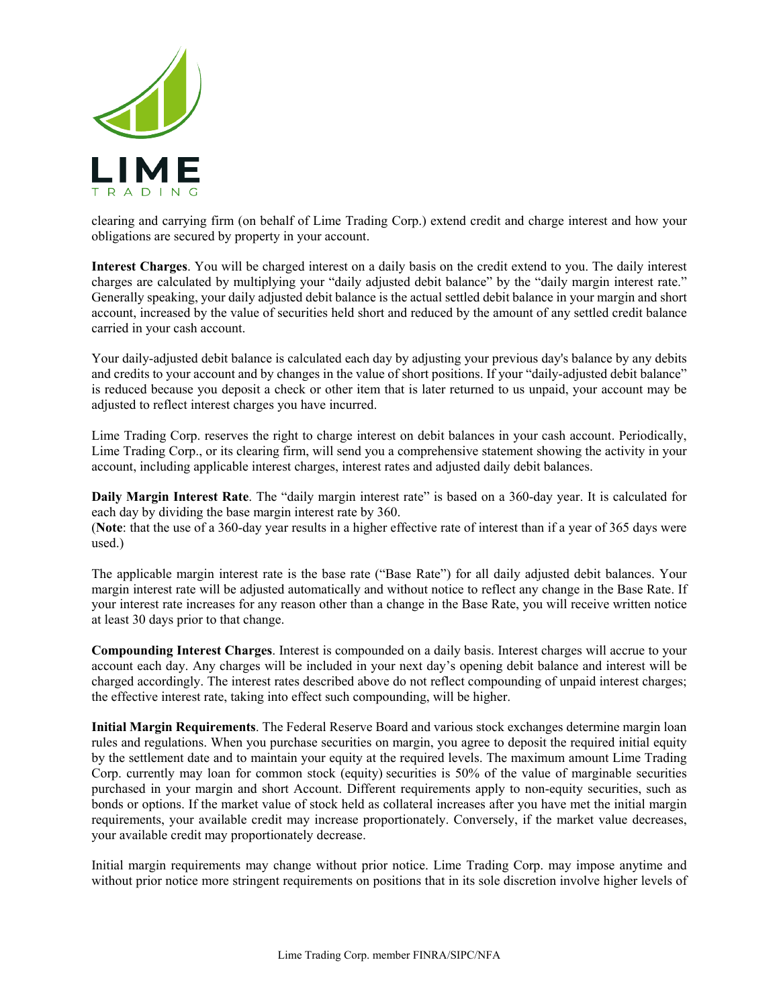

clearing and carrying firm (on behalf of Lime Trading Corp.) extend credit and charge interest and how your obligations are secured by property in your account.

**Interest Charges**. You will be charged interest on a daily basis on the credit extend to you. The daily interest charges are calculated by multiplying your "daily adjusted debit balance" by the "daily margin interest rate." Generally speaking, your daily adjusted debit balance is the actual settled debit balance in your margin and short account, increased by the value of securities held short and reduced by the amount of any settled credit balance carried in your cash account.

Your daily-adjusted debit balance is calculated each day by adjusting your previous day's balance by any debits and credits to your account and by changes in the value of short positions. If your "daily-adjusted debit balance" is reduced because you deposit a check or other item that is later returned to us unpaid, your account may be adjusted to reflect interest charges you have incurred.

Lime Trading Corp. reserves the right to charge interest on debit balances in your cash account. Periodically, Lime Trading Corp., or its clearing firm, will send you a comprehensive statement showing the activity in your account, including applicable interest charges, interest rates and adjusted daily debit balances.

**Daily Margin Interest Rate**. The "daily margin interest rate" is based on a 360-day year. It is calculated for each day by dividing the base margin interest rate by 360.

(**Note**: that the use of a 360-day year results in a higher effective rate of interest than if a year of 365 days were used.)

The applicable margin interest rate is the base rate ("Base Rate") for all daily adjusted debit balances. Your margin interest rate will be adjusted automatically and without notice to reflect any change in the Base Rate. If your interest rate increases for any reason other than a change in the Base Rate, you will receive written notice at least 30 days prior to that change.

**Compounding Interest Charges**. Interest is compounded on a daily basis. Interest charges will accrue to your account each day. Any charges will be included in your next day's opening debit balance and interest will be charged accordingly. The interest rates described above do not reflect compounding of unpaid interest charges; the effective interest rate, taking into effect such compounding, will be higher.

**Initial Margin Requirements**. The Federal Reserve Board and various stock exchanges determine margin loan rules and regulations. When you purchase securities on margin, you agree to deposit the required initial equity by the settlement date and to maintain your equity at the required levels. The maximum amount Lime Trading Corp. currently may loan for common stock (equity) securities is 50% of the value of marginable securities purchased in your margin and short Account. Different requirements apply to non-equity securities, such as bonds or options. If the market value of stock held as collateral increases after you have met the initial margin requirements, your available credit may increase proportionately. Conversely, if the market value decreases, your available credit may proportionately decrease.

Initial margin requirements may change without prior notice. Lime Trading Corp. may impose anytime and without prior notice more stringent requirements on positions that in its sole discretion involve higher levels of